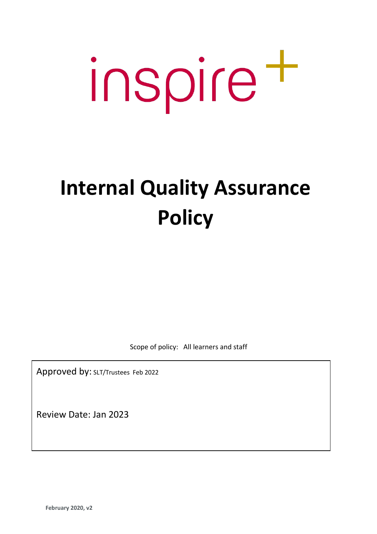# inspire t

# **Internal Quality Assurance Policy**

Scope of policy: All learners and staff

Approved by: SLT/Trustees Feb 2022

Review Date: Jan 2023

**February 2020, v2**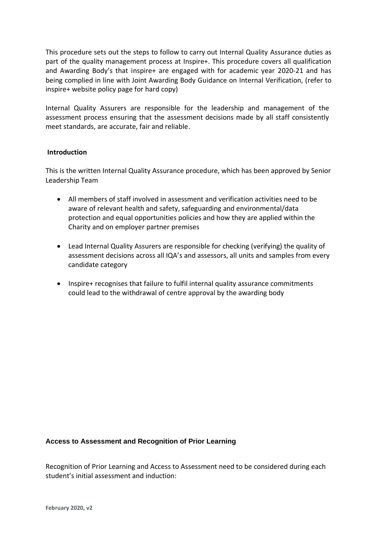This procedure sets out the steps to follow to carry out Internal Quality Assurance duties as part of the quality management process at Inspire+. This procedure covers all qualification and Awarding Body's that inspire+ are engaged with for academic year 2020-21 and has being complied in line with Joint Awarding Body Guidance on Internal Verification, (refer to inspire+ website policy page for hard copy)

Internal Quality Assurers are responsible for the leadership and management of the assessment process ensuring that the assessment decisions made by all staff consistently meet standards, are accurate, fair and reliable.

#### **Introduction**

This is the written Internal Quality Assurance procedure, which has been approved by Senior Leadership Team

- All members of staff involved in assessment and verification activities need to be aware of relevant health and safety, safeguarding and environmental/data protection and equal opportunities policies and how they are applied within the Charity and on employer partner premises
- Lead Internal Quality Assurers are responsible for checking (verifying) the quality of assessment decisions across all IQA's and assessors, all units and samples from every candidate category
- Inspire+ recognises that failure to fulfil internal quality assurance commitments could lead to the withdrawal of centre approval by the awarding body

#### **Access to Assessment and Recognition of Prior Learning**

Recognition of Prior Learning and Access to Assessment need to be considered during each student's initial assessment and induction: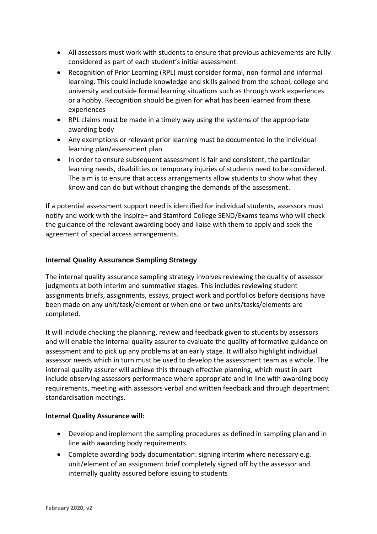- All assessors must work with students to ensure that previous achievements are fully considered as part of each student's initial assessment.
- Recognition of Prior Learning (RPL) must consider formal, non-formal and informal learning. This could include knowledge and skills gained from the school, college and university and outside formal learning situations such as through work experiences or a hobby. Recognition should be given for what has been learned from these experiences
- RPL claims must be made in a timely way using the systems of the appropriate awarding body
- Any exemptions or relevant prior learning must be documented in the individual learning plan/assessment plan
- In order to ensure subsequent assessment is fair and consistent, the particular learning needs, disabilities or temporary injuries of students need to be considered. The aim is to ensure that access arrangements allow students to show what they know and can do but without changing the demands of the assessment.

If a potential assessment support need is identified for individual students, assessors must notify and work with the inspire+ and Stamford College SEND/Exams teams who will check the guidance of the relevant awarding body and liaise with them to apply and seek the agreement of special access arrangements.

# **Internal Quality Assurance Sampling Strategy**

The internal quality assurance sampling strategy involves reviewing the quality of assessor judgments at both interim and summative stages. This includes reviewing student assignments briefs, assignments, essays, project work and portfolios before decisions have been made on any unit/task/element or when one or two units/tasks/elements are completed.

It will include checking the planning, review and feedback given to students by assessors and will enable the internal quality assurer to evaluate the quality of formative guidance on assessment and to pick up any problems at an early stage. It will also highlight individual assessor needs which in turn must be used to develop the assessment team as a whole. The internal quality assurer will achieve this through effective planning, which must in part include observing assessors performance where appropriate and in line with awarding body requirements, meeting with assessors verbal and written feedback and through department standardisation meetings.

# **Internal Quality Assurance will:**

- Develop and implement the sampling procedures as defined in sampling plan and in line with awarding body requirements
- Complete awarding body documentation: signing interim where necessary e.g. unit/element of an assignment brief completely signed off by the assessor and internally quality assured before issuing to students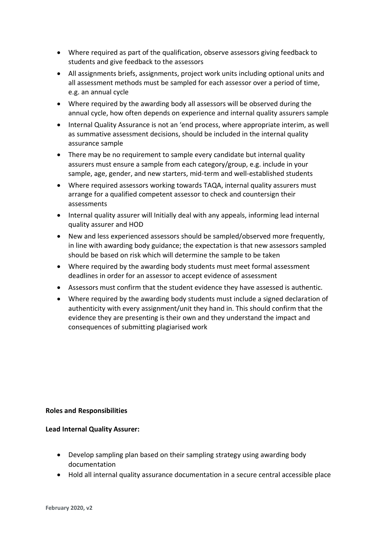- Where required as part of the qualification, observe assessors giving feedback to students and give feedback to the assessors
- All assignments briefs, assignments, project work units including optional units and all assessment methods must be sampled for each assessor over a period of time, e.g. an annual cycle
- Where required by the awarding body all assessors will be observed during the annual cycle, how often depends on experience and internal quality assurers sample
- Internal Quality Assurance is not an 'end process, where appropriate interim, as well as summative assessment decisions, should be included in the internal quality assurance sample
- There may be no requirement to sample every candidate but internal quality assurers must ensure a sample from each category/group, e.g. include in your sample, age, gender, and new starters, mid-term and well-established students
- Where required assessors working towards TAQA, internal quality assurers must arrange for a qualified competent assessor to check and countersign their assessments
- Internal quality assurer will Initially deal with any appeals, informing lead internal quality assurer and HOD
- New and less experienced assessors should be sampled/observed more frequently, in line with awarding body guidance; the expectation is that new assessors sampled should be based on risk which will determine the sample to be taken
- Where required by the awarding body students must meet formal assessment deadlines in order for an assessor to accept evidence of assessment
- Assessors must confirm that the student evidence they have assessed is authentic.
- Where required by the awarding body students must include a signed declaration of authenticity with every assignment/unit they hand in. This should confirm that the evidence they are presenting is their own and they understand the impact and consequences of submitting plagiarised work

#### **Roles and Responsibilities**

#### **Lead Internal Quality Assurer:**

- Develop sampling plan based on their sampling strategy using awarding body documentation
- Hold all internal quality assurance documentation in a secure central accessible place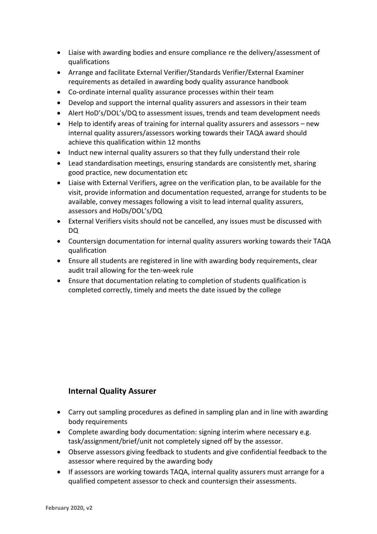- Liaise with awarding bodies and ensure compliance re the delivery/assessment of qualifications
- Arrange and facilitate External Verifier/Standards Verifier/External Examiner requirements as detailed in awarding body quality assurance handbook
- Co-ordinate internal quality assurance processes within their team
- Develop and support the internal quality assurers and assessors in their team
- Alert HoD's/DOL's/DQ to assessment issues, trends and team development needs
- Help to identify areas of training for internal quality assurers and assessors new internal quality assurers/assessors working towards their TAQA award should achieve this qualification within 12 months
- Induct new internal quality assurers so that they fully understand their role
- Lead standardisation meetings, ensuring standards are consistently met, sharing good practice, new documentation etc
- Liaise with External Verifiers, agree on the verification plan, to be available for the visit, provide information and documentation requested, arrange for students to be available, convey messages following a visit to lead internal quality assurers, assessors and HoDs/DOL's/DQ
- External Verifiers visits should not be cancelled, any issues must be discussed with DQ
- Countersign documentation for internal quality assurers working towards their TAQA qualification
- Ensure all students are registered in line with awarding body requirements, clear audit trail allowing for the ten-week rule
- Ensure that documentation relating to completion of students qualification is completed correctly, timely and meets the date issued by the college

# **Internal Quality Assurer**

- Carry out sampling procedures as defined in sampling plan and in line with awarding body requirements
- Complete awarding body documentation: signing interim where necessary e.g. task/assignment/brief/unit not completely signed off by the assessor.
- Observe assessors giving feedback to students and give confidential feedback to the assessor where required by the awarding body
- If assessors are working towards TAQA, internal quality assurers must arrange for a qualified competent assessor to check and countersign their assessments.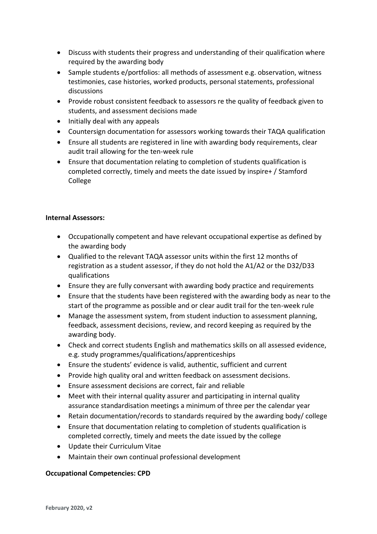- Discuss with students their progress and understanding of their qualification where required by the awarding body
- Sample students e/portfolios: all methods of assessment e.g. observation, witness testimonies, case histories, worked products, personal statements, professional discussions
- Provide robust consistent feedback to assessors re the quality of feedback given to students, and assessment decisions made
- Initially deal with any appeals
- Countersign documentation for assessors working towards their TAQA qualification
- Ensure all students are registered in line with awarding body requirements, clear audit trail allowing for the ten-week rule
- Ensure that documentation relating to completion of students qualification is completed correctly, timely and meets the date issued by inspire+ / Stamford College

# **Internal Assessors:**

- Occupationally competent and have relevant occupational expertise as defined by the awarding body
- Qualified to the relevant TAQA assessor units within the first 12 months of registration as a student assessor, if they do not hold the A1/A2 or the D32/D33 qualifications
- Ensure they are fully conversant with awarding body practice and requirements
- Ensure that the students have been registered with the awarding body as near to the start of the programme as possible and or clear audit trail for the ten-week rule
- Manage the assessment system, from student induction to assessment planning, feedback, assessment decisions, review, and record keeping as required by the awarding body.
- Check and correct students English and mathematics skills on all assessed evidence, e.g. study programmes/qualifications/apprenticeships
- Ensure the students' evidence is valid, authentic, sufficient and current
- Provide high quality oral and written feedback on assessment decisions.
- Ensure assessment decisions are correct, fair and reliable
- Meet with their internal quality assurer and participating in internal quality assurance standardisation meetings a minimum of three per the calendar year
- Retain documentation/records to standards required by the awarding body/ college
- Ensure that documentation relating to completion of students qualification is completed correctly, timely and meets the date issued by the college
- Update their Curriculum Vitae
- Maintain their own continual professional development

# **Occupational Competencies: CPD**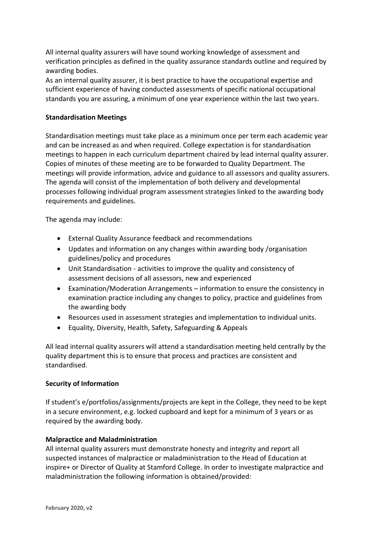All internal quality assurers will have sound working knowledge of assessment and verification principles as defined in the quality assurance standards outline and required by awarding bodies.

As an internal quality assurer, it is best practice to have the occupational expertise and sufficient experience of having conducted assessments of specific national occupational standards you are assuring, a minimum of one year experience within the last two years.

#### **Standardisation Meetings**

Standardisation meetings must take place as a minimum once per term each academic year and can be increased as and when required. College expectation is for standardisation meetings to happen in each curriculum department chaired by lead internal quality assurer. Copies of minutes of these meeting are to be forwarded to Quality Department. The meetings will provide information, advice and guidance to all assessors and quality assurers. The agenda will consist of the implementation of both delivery and developmental processes following individual program assessment strategies linked to the awarding body requirements and guidelines.

The agenda may include:

- External Quality Assurance feedback and recommendations
- Updates and information on any changes within awarding body /organisation guidelines/policy and procedures
- Unit Standardisation activities to improve the quality and consistency of assessment decisions of all assessors, new and experienced
- Examination/Moderation Arrangements information to ensure the consistency in examination practice including any changes to policy, practice and guidelines from the awarding body
- Resources used in assessment strategies and implementation to individual units.
- Equality, Diversity, Health, Safety, Safeguarding & Appeals

All lead internal quality assurers will attend a standardisation meeting held centrally by the quality department this is to ensure that process and practices are consistent and standardised.

#### **Security of Information**

If student's e/portfolios/assignments/projects are kept in the College, they need to be kept in a secure environment, e.g. locked cupboard and kept for a minimum of 3 years or as required by the awarding body.

#### **Malpractice and Maladministration**

All internal quality assurers must demonstrate honesty and integrity and report all suspected instances of malpractice or maladministration to the Head of Education at inspire+ or Director of Quality at Stamford College. In order to investigate malpractice and maladministration the following information is obtained/provided: